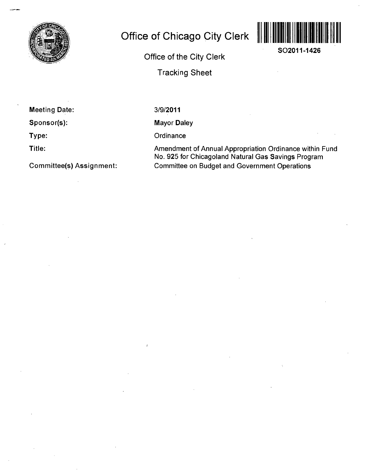

## **Office of Chicago City Clerk**



**SO2011-1426** 

**Office of the City Clerk** 

**Tracking Sheet** 

**Meeting Date:** 

**Sponsor(s):** 

**Type:** 

**Title:** 

**Committee(s) Assignment:** 

3/9/2011

Mayor Daley

**Ordinance** 

Amendment of Annual Appropriation Ordinance within Fund No. 925 for Chicagoland Natural Gas Savings Program Committee on Budget and Government Operations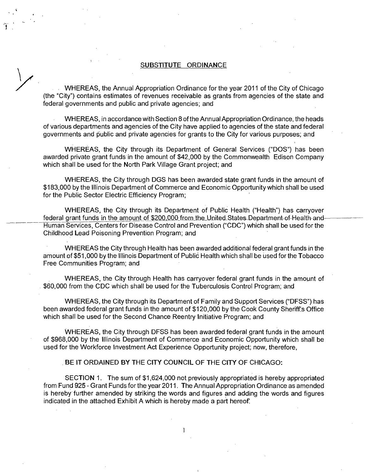## **SUBSTITUTE ORDINANCE**

WHEREAS, the Annual Appropriation Ordinance for the year 2011 of the City of Chicago (the "City") contains estimates of revenues receivable as grants from agencies of the state and federal governments and public and private agencies; and

WHEREAS, in accordance with Section 8 of the Annual Appropriation Ordinance, the heads of various departments and agencies of the City have applied to agencies of the state and federal governments and public and private agencies for grants to the City for various purposes; and

WHEREAS, the City through its Department of General Services ("DOS") has been awarded private grant funds in the amount of \$42,000 by the Commonwealth Edison Company which shall be used for the North Park Village Grant project; and

WHEREAS, the City through DGS has been awarded state grant funds in the amount of \$183,000 by the Illinois Department of Commerce and Economic Opportunity which shall be used for the Public Sector Electric Efficiency Program;

WHEREAS, the City through its Department of Public Health ("Health") has carryover federal grant funds in the amount of \$200,000 from the United States Department of Health and Human Services, Centers for Disease Control and Prevention ("CDC") which shall be used for the Childhood Lead Poisoning Prevention Program; and

WHEREAS the City through Health has been awarded additional federal grant funds in the amount of \$51,000 by the Illinois Department of Public Health which shall be used for the Tobacco Free Communities Program; and

WHEREAS, the City through Health has carryover federal grant funds in the amount of \$60,000 from the CDC which shall be used for the Tuberculosis Control Program; and

WHEREAS, the City through its Department of Family and Support Services ("DFSS") has been awarded federal grant funds in the amount of \$120,000 by the Cook County Sheriff's Office which shall be used for the Second Chance Reentry Initiative Program; and

WHEREAS, the City through DFSS has been awarded federal grant funds in the amount of \$968,000 by the Illinois Department of Commerce and Economic Opportunity which shall be used for the Workforce Investment Act Experience Opportunity project; now, therefore,

**BE IT ORDAINED BY THE CITY COUNCIL OF THE CITY OF CHICAGO:** 

SECTION 1. The sum of \$1,624,000 not previously appropriated is hereby appropriated from Fund 925 - Grant Funds for the year 2011. The Annual Appropriation Ordinance as amended is hereby further amended by striking the words and figures and adding the words and figures indicated in the attached Exhibit A which is hereby made a part hereof

 $\mathbf{1}$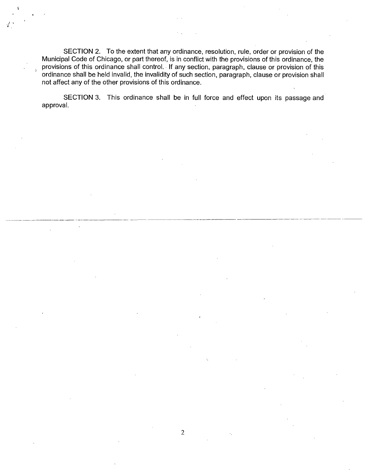SECTION 2. To the extent that any ordinance, resolution, rule, order or provision of the Municipal Code of Chicago, or part thereof, is in conflict with the provisions of this ordinance, the provisions of this ordinance shall control. If any section, paragraph, clause or provision of this ordinance shall be held invalid, the invalidity of such section, paragraph, clause or provision shall not affect any of the other provisions of this ordinance.

SECTION 3. This ordinance shall be in full force and effect upon its passage and approval.